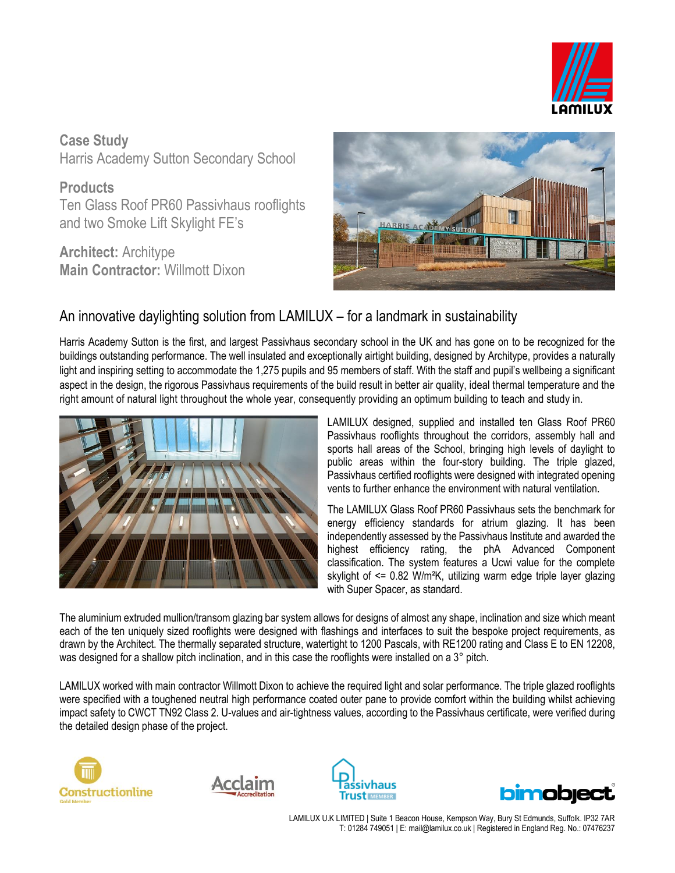

**Case Study** Harris Academy Sutton Secondary School

**Products** Ten Glass Roof PR60 Passivhaus rooflights and two Smoke Lift Skylight FE's

**Architect:** Architype **Main Contractor:** Willmott Dixon



## An innovative daylighting solution from LAMILUX – for a landmark in sustainability

Harris Academy Sutton is the first, and largest Passivhaus secondary school in the UK and has gone on to be recognized for the buildings outstanding performance. The well insulated and exceptionally airtight building, designed by Architype, provides a naturally light and inspiring setting to accommodate the 1,275 pupils and 95 members of staff. With the staff and pupil's wellbeing a significant aspect in the design, the rigorous Passivhaus requirements of the build result in better air quality, ideal thermal temperature and the right amount of natural light throughout the whole year, consequently providing an optimum building to teach and study in.



LAMILUX designed, supplied and installed ten Glass Roof PR60 Passivhaus rooflights throughout the corridors, assembly hall and sports hall areas of the School, bringing high levels of daylight to public areas within the four-story building. The triple glazed, Passivhaus certified rooflights were designed with integrated opening vents to further enhance the environment with natural ventilation.

The LAMILUX Glass Roof PR60 Passivhaus sets the benchmark for energy efficiency standards for atrium glazing. It has been independently assessed by the Passivhaus Institute and awarded the highest efficiency rating, the phA Advanced Component classification. The system features a Ucwi value for the complete skylight of <= 0.82 W/m²K, utilizing warm edge triple layer glazing with Super Spacer, as standard.

The aluminium extruded mullion/transom glazing bar system allows for designs of almost any shape, inclination and size which meant each of the ten uniquely sized rooflights were designed with flashings and interfaces to suit the bespoke project requirements, as drawn by the Architect. The thermally separated structure, watertight to 1200 Pascals, with RE1200 rating and Class E to EN 12208, was designed for a shallow pitch inclination, and in this case the rooflights were installed on a 3° pitch.

LAMILUX worked with main contractor Willmott Dixon to achieve the required light and solar performance. The triple glazed rooflights were specified with a toughened neutral high performance coated outer pane to provide comfort within the building whilst achieving impact safety to CWCT TN92 Class 2. U-values and air-tightness values, according to the Passivhaus certificate, were verified during the detailed design phase of the project.









LAMILUX U.K LIMITED | Suite 1 Beacon House, Kempson Way, Bury St Edmunds, Suffolk. IP32 7AR T: 01284 749051 | E: mail@lamilux.co.uk | Registered in England Reg. No.: 07476237